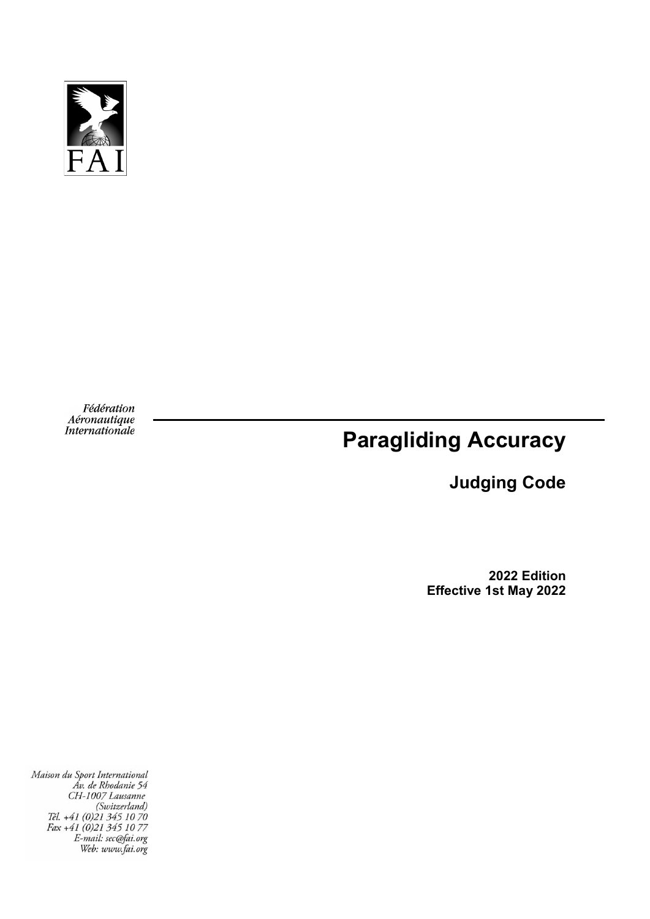

Fédération Aéronautique<br>Internationale

# **Paragliding Accuracy**

# **Judging Code**

**2022 Edition Effective 1st May 2022**

Maison du Sport International<br>Av. de Rhodanie 54<br>CH-1007 Lausanne<br>(Switzerland)<br>Tél. +41 (0)21 345 10 70<br>Fax +41 (0)21 345 10 77<br>E-mail: sec@fai.org<br>Web: www.fai.org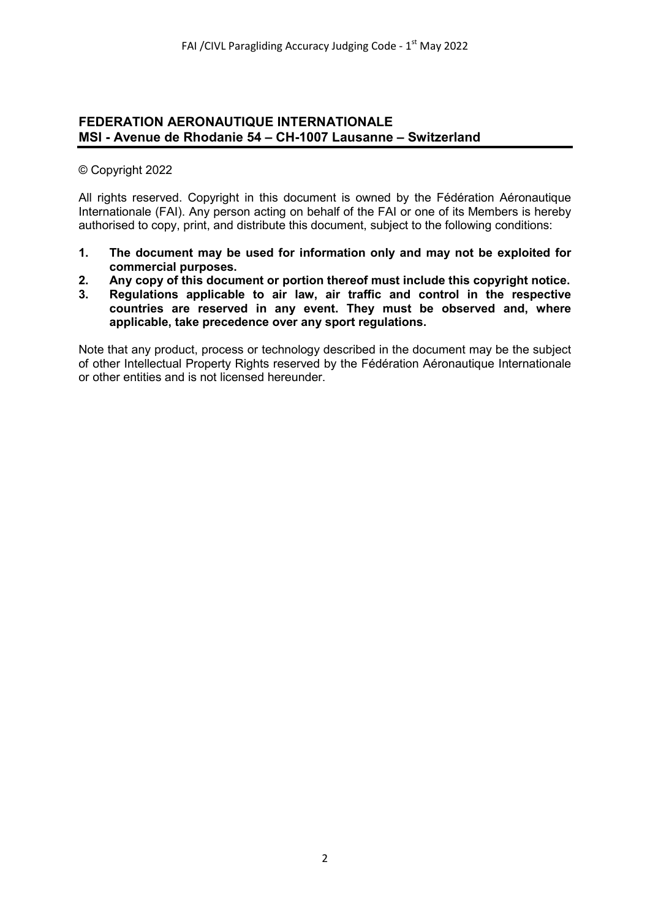#### **FEDERATION AERONAUTIQUE INTERNATIONALE MSI - Avenue de Rhodanie 54 – CH-1007 Lausanne – Switzerland**

#### © Copyright 2022

All rights reserved. Copyright in this document is owned by the Fédération Aéronautique Internationale (FAI). Any person acting on behalf of the FAI or one of its Members is hereby authorised to copy, print, and distribute this document, subject to the following conditions:

- **1. The document may be used for information only and may not be exploited for commercial purposes.**
- **2. Any copy of this document or portion thereof must include this copyright notice.**
- **3. Regulations applicable to air law, air traffic and control in the respective countries are reserved in any event. They must be observed and, where applicable, take precedence over any sport regulations.**

Note that any product, process or technology described in the document may be the subject of other Intellectual Property Rights reserved by the Fédération Aéronautique Internationale or other entities and is not licensed hereunder.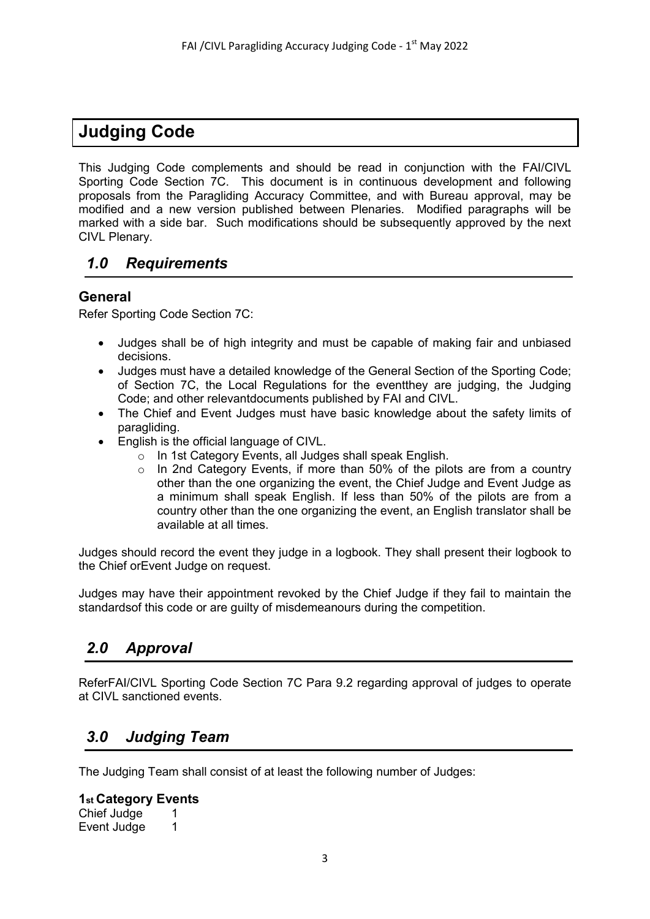# **Judging Code**

This Judging Code complements and should be read in conjunction with the FAI/CIVL Sporting Code Section 7C. This document is in continuous development and following proposals from the Paragliding Accuracy Committee, and with Bureau approval, may be modified and a new version published between Plenaries. Modified paragraphs will be marked with a side bar. Such modifications should be subsequently approved by the next CIVL Plenary.

# *1.0 Requirements*

#### **General**

Refer Sporting Code Section 7C:

- Judges shall be of high integrity and must be capable of making fair and unbiased decisions.
- Judges must have a detailed knowledge of the General Section of the Sporting Code; of Section 7C, the Local Regulations for the eventthey are judging, the Judging Code; and other relevantdocuments published by FAI and CIVL.
- The Chief and Event Judges must have basic knowledge about the safety limits of paragliding.
- English is the official language of CIVL.
	- o In 1st Category Events, all Judges shall speak English.
	- o In 2nd Category Events, if more than 50% of the pilots are from a country other than the one organizing the event, the Chief Judge and Event Judge as a minimum shall speak English. If less than 50% of the pilots are from a country other than the one organizing the event, an English translator shall be available at all times.

Judges should record the event they judge in a logbook. They shall present their logbook to the Chief orEvent Judge on request.

Judges may have their appointment revoked by the Chief Judge if they fail to maintain the standardsof this code or are guilty of misdemeanours during the competition.

# *2.0 Approval*

ReferFAI/CIVL Sporting Code Section 7C Para 9.2 regarding approval of judges to operate at CIVL sanctioned events.

# *3.0 Judging Team*

The Judging Team shall consist of at least the following number of Judges:

#### **1st Category Events**

Chief Judge 1 Event Judge 1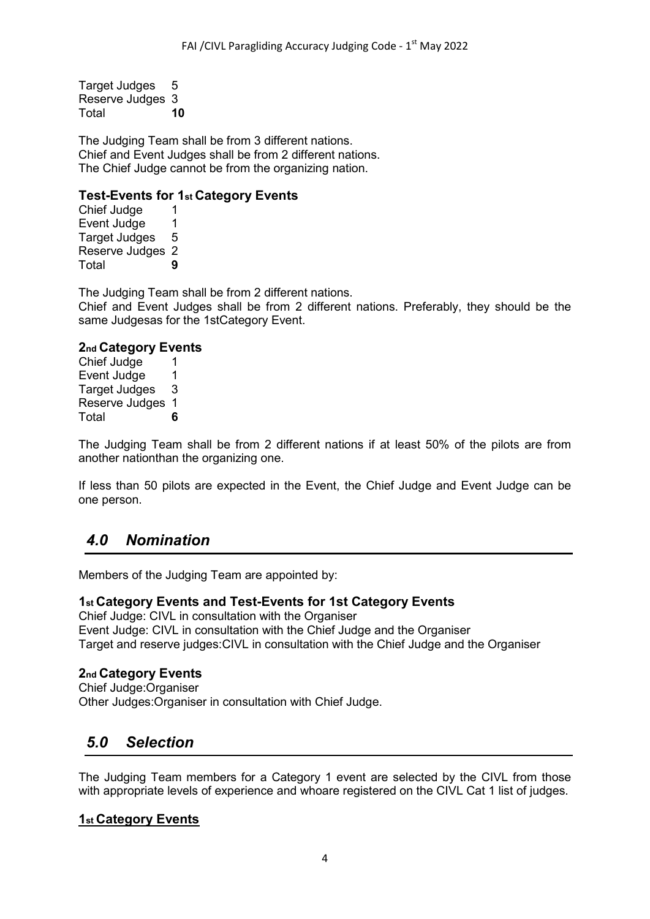Target Judges 5 Reserve Judges 3<br>Total 10 Total **10**

The Judging Team shall be from 3 different nations. Chief and Event Judges shall be from 2 different nations. The Chief Judge cannot be from the organizing nation.

#### **Test-Events for 1st Category Events**

Chief Judge 1<br>Event Judge 1 Event Judge 1<br>Target Judges 5 Target Judges 5 Reserve Judges 2 Total **9**

The Judging Team shall be from 2 different nations. Chief and Event Judges shall be from 2 different nations. Preferably, they should be the same Judgesas for the 1stCategory Event.

#### **2nd Category Events**

Chief Judge 1 Event Judge 1 Target Judges 3 Reserve Judges 1 Total **6**

The Judging Team shall be from 2 different nations if at least 50% of the pilots are from another nationthan the organizing one.

If less than 50 pilots are expected in the Event, the Chief Judge and Event Judge can be one person.

# *4.0 Nomination*

Members of the Judging Team are appointed by:

#### **1st Category Events and Test-Events for 1st Category Events**

Chief Judge: CIVL in consultation with the Organiser Event Judge: CIVL in consultation with the Chief Judge and the Organiser Target and reserve judges:CIVL in consultation with the Chief Judge and the Organiser

#### **2nd Category Events**

Chief Judge:Organiser Other Judges:Organiser in consultation with Chief Judge.

# *5.0 Selection*

The Judging Team members for a Category 1 event are selected by the CIVL from those with appropriate levels of experience and whoare registered on the CIVL Cat 1 list of judges.

#### **1st Category Events**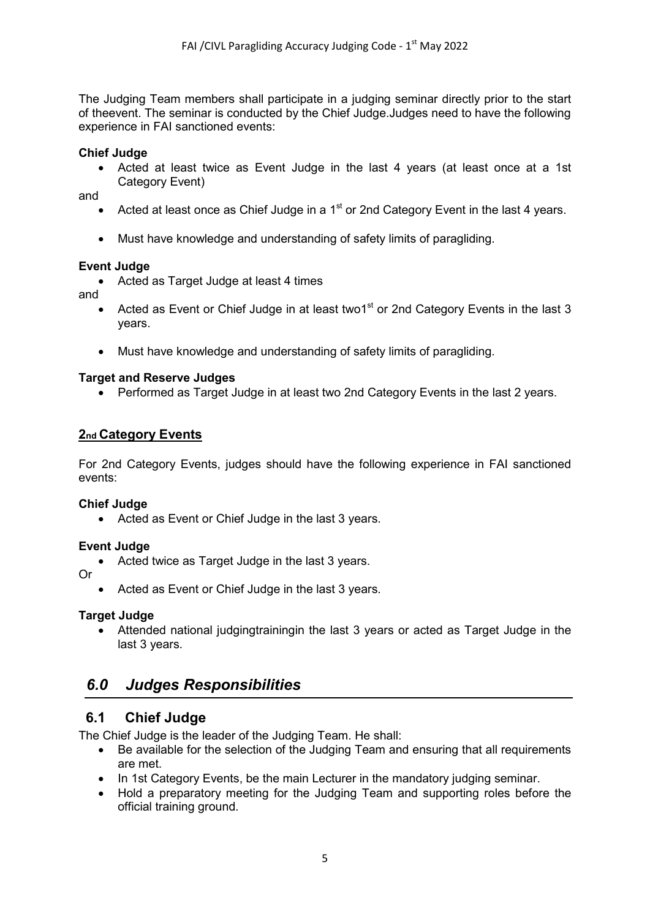The Judging Team members shall participate in a judging seminar directly prior to the start of theevent. The seminar is conducted by the Chief Judge.Judges need to have the following experience in FAI sanctioned events:

#### **Chief Judge**

• Acted at least twice as Event Judge in the last 4 years (at least once at a 1st Category Event)

and

- Acted at least once as Chief Judge in a  $1<sup>st</sup>$  or 2nd Category Event in the last 4 years.
- Must have knowledge and understanding of safety limits of paragliding.

#### **Event Judge**

• Acted as Target Judge at least 4 times

and

- Acted as Event or Chief Judge in at least two1<sup>st</sup> or 2nd Category Events in the last 3 years.
- Must have knowledge and understanding of safety limits of paragliding.

#### **Target and Reserve Judges**

• Performed as Target Judge in at least two 2nd Category Events in the last 2 years.

#### **2nd Category Events**

For 2nd Category Events, judges should have the following experience in FAI sanctioned events:

#### **Chief Judge**

• Acted as Event or Chief Judge in the last 3 years.

#### **Event Judge**

• Acted twice as Target Judge in the last 3 years.

Or

• Acted as Event or Chief Judge in the last 3 years.

#### **Target Judge**

• Attended national judgingtrainingin the last 3 years or acted as Target Judge in the last 3 years.

# *6.0 Judges Responsibilities*

#### **6.1 Chief Judge**

The Chief Judge is the leader of the Judging Team. He shall:

- Be available for the selection of the Judging Team and ensuring that all requirements are met.
- In 1st Category Events, be the main Lecturer in the mandatory judging seminar.
- Hold a preparatory meeting for the Judging Team and supporting roles before the official training ground.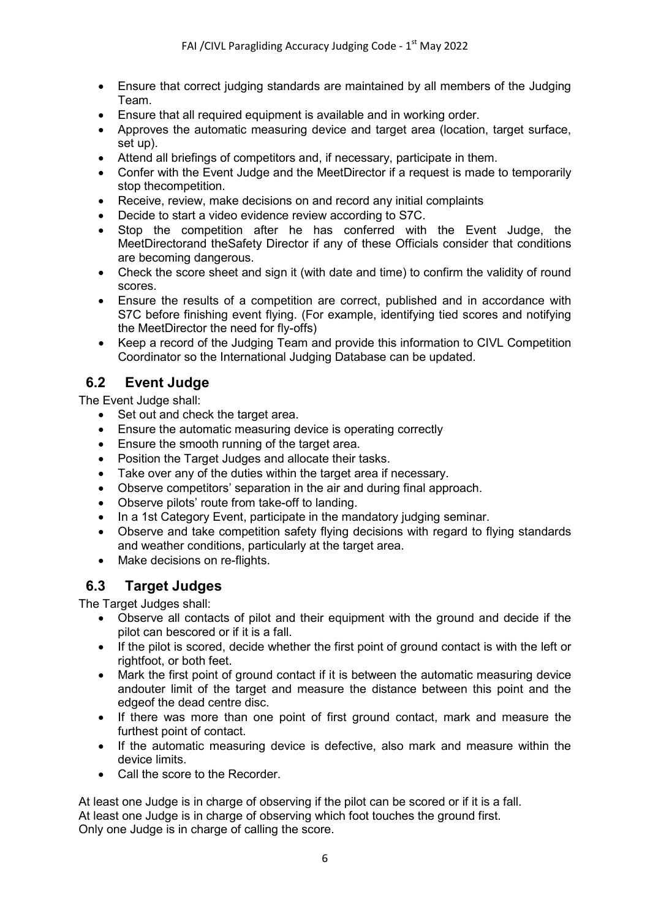- Ensure that correct judging standards are maintained by all members of the Judging Team.
- Ensure that all required equipment is available and in working order.
- Approves the automatic measuring device and target area (location, target surface, set up).
- Attend all briefings of competitors and, if necessary, participate in them.
- Confer with the Event Judge and the MeetDirector if a request is made to temporarily stop thecompetition.
- Receive, review, make decisions on and record any initial complaints
- Decide to start a video evidence review according to S7C.
- Stop the competition after he has conferred with the Event Judge, the MeetDirectorand theSafety Director if any of these Officials consider that conditions are becoming dangerous.
- Check the score sheet and sign it (with date and time) to confirm the validity of round scores.
- Ensure the results of a competition are correct, published and in accordance with S7C before finishing event flying. (For example, identifying tied scores and notifying the MeetDirector the need for fly-offs)
- Keep a record of the Judging Team and provide this information to CIVL Competition Coordinator so the International Judging Database can be updated.

### **6.2 Event Judge**

The Event Judge shall:

- Set out and check the target area.
- Ensure the automatic measuring device is operating correctly
- Ensure the smooth running of the target area.
- Position the Target Judges and allocate their tasks.
- Take over any of the duties within the target area if necessary.
- Observe competitors' separation in the air and during final approach.
- Observe pilots' route from take-off to landing.
- In a 1st Category Event, participate in the mandatory judging seminar.
- Observe and take competition safety flying decisions with regard to flying standards and weather conditions, particularly at the target area.
- Make decisions on re-flights.

### **6.3 Target Judges**

The Target Judges shall:

- Observe all contacts of pilot and their equipment with the ground and decide if the pilot can bescored or if it is a fall.
- If the pilot is scored, decide whether the first point of ground contact is with the left or rightfoot, or both feet.
- Mark the first point of ground contact if it is between the automatic measuring device andouter limit of the target and measure the distance between this point and the edgeof the dead centre disc.
- If there was more than one point of first ground contact, mark and measure the furthest point of contact.
- If the automatic measuring device is defective, also mark and measure within the device limits.
- Call the score to the Recorder.

At least one Judge is in charge of observing if the pilot can be scored or if it is a fall. At least one Judge is in charge of observing which foot touches the ground first. Only one Judge is in charge of calling the score.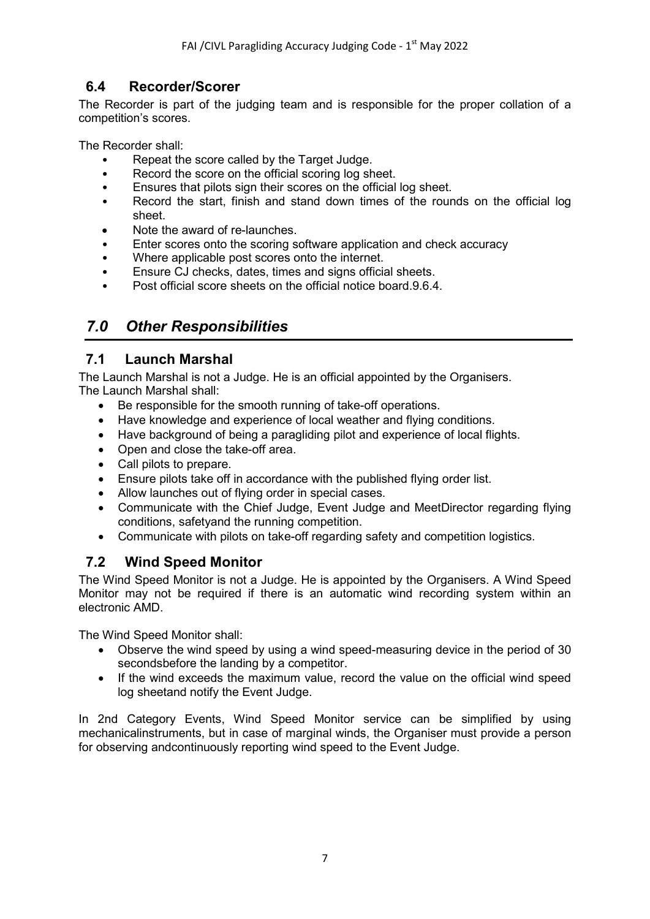# **6.4 Recorder/Scorer**

The Recorder is part of the judging team and is responsible for the proper collation of a competition's scores.

The Recorder shall:

- Repeat the score called by the Target Judge.
- Record the score on the official scoring log sheet.
- Ensures that pilots sign their scores on the official log sheet.
- Record the start, finish and stand down times of the rounds on the official log sheet.
- Note the award of re-launches.
- Enter scores onto the scoring software application and check accuracy
- Where applicable post scores onto the internet.
- Ensure CJ checks, dates, times and signs official sheets.
- Post official score sheets on the official notice board.9.6.4.

# *7.0 Other Responsibilities*

### **7.1 Launch Marshal**

The Launch Marshal is not a Judge. He is an official appointed by the Organisers. The Launch Marshal shall:

- Be responsible for the smooth running of take-off operations.
- Have knowledge and experience of local weather and flying conditions.
- Have background of being a paragliding pilot and experience of local flights.
- Open and close the take-off area.
- Call pilots to prepare.
- Ensure pilots take off in accordance with the published flying order list.
- Allow launches out of flying order in special cases.
- Communicate with the Chief Judge, Event Judge and MeetDirector regarding flying conditions, safetyand the running competition.
- Communicate with pilots on take-off regarding safety and competition logistics.

# **7.2 Wind Speed Monitor**

The Wind Speed Monitor is not a Judge. He is appointed by the Organisers. A Wind Speed Monitor may not be required if there is an automatic wind recording system within an electronic AMD.

The Wind Speed Monitor shall:

- Observe the wind speed by using a wind speed-measuring device in the period of 30 secondsbefore the landing by a competitor.
- If the wind exceeds the maximum value, record the value on the official wind speed log sheetand notify the Event Judge.

In 2nd Category Events, Wind Speed Monitor service can be simplified by using mechanicalinstruments, but in case of marginal winds, the Organiser must provide a person for observing andcontinuously reporting wind speed to the Event Judge.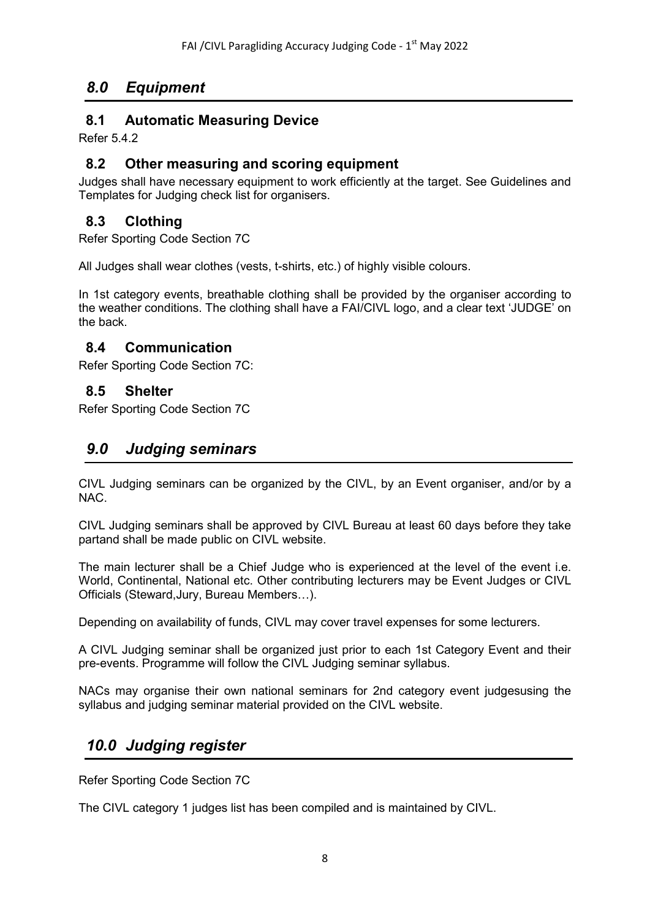# *8.0 Equipment*

### **8.1 Automatic Measuring Device**

Refer 5.4.2

### **8.2 Other measuring and scoring equipment**

Judges shall have necessary equipment to work efficiently at the target. See Guidelines and Templates for Judging check list for organisers.

# **8.3 Clothing**

Refer Sporting Code Section 7C

All Judges shall wear clothes (vests, t-shirts, etc.) of highly visible colours.

In 1st category events, breathable clothing shall be provided by the organiser according to the weather conditions. The clothing shall have a FAI/CIVL logo, and a clear text 'JUDGE' on the back.

### **8.4 Communication**

Refer Sporting Code Section 7C:

### **8.5 Shelter**

Refer Sporting Code Section 7C

# *9.0 Judging seminars*

CIVL Judging seminars can be organized by the CIVL, by an Event organiser, and/or by a NAC.

CIVL Judging seminars shall be approved by CIVL Bureau at least 60 days before they take partand shall be made public on CIVL website.

The main lecturer shall be a Chief Judge who is experienced at the level of the event i.e. World, Continental, National etc. Other contributing lecturers may be Event Judges or CIVL Officials (Steward,Jury, Bureau Members…).

Depending on availability of funds, CIVL may cover travel expenses for some lecturers.

A CIVL Judging seminar shall be organized just prior to each 1st Category Event and their pre-events. Programme will follow the CIVL Judging seminar syllabus.

NACs may organise their own national seminars for 2nd category event judgesusing the syllabus and judging seminar material provided on the CIVL website.

# *10.0 Judging register*

Refer Sporting Code Section 7C

The CIVL category 1 judges list has been compiled and is maintained by CIVL.